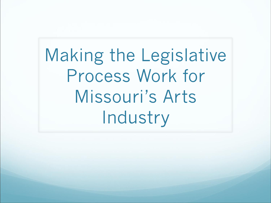Making the Legislative Process Work for Missouri's Arts Industry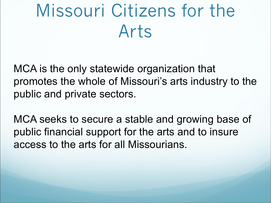## Missouri Citizens for the Arts

MCA is the only statewide organization that promotes the whole of Missouri's arts industry to the public and private sectors.

MCA seeks to secure a stable and growing base of public financial support for the arts and to insure access to the arts for all Missourians.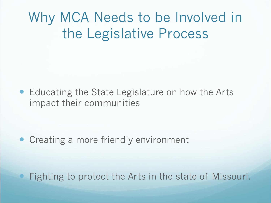#### Why MCA Needs to be Involved in the Legislative Process

• Educating the State Legislature on how the Arts impact their communities

• Creating a more friendly environment

Fighting to protect the Arts in the state of Missouri.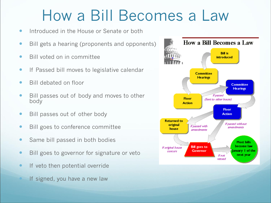#### How a Bill Becomes a Law

- **•** Introduced in the House or Senate or both
- Bill gets a hearing (proponents and opponents)
- Bill voted on in committee
- **If Passed bill moves to legislative calendar**
- Bill debated on floor
- Bill passes out of body and moves to other body
- Bill passes out of other body
- Bill goes to conference committee
- Same bill passed in both bodies
- Bill goes to governor for signature or veto
- **If veto then potential override**
- If signed, you have a new law

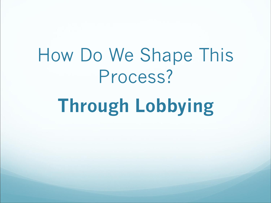# How Do We Shape This Process?

# **Through Lobbying**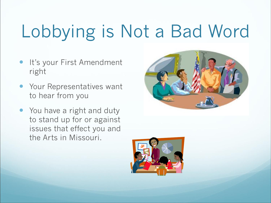# Lobbying is Not a Bad Word

- It's your First Amendment right
- **Your Representatives want** to hear from you
- You have a right and duty to stand up for or against issues that effect you and the Arts in Missouri.



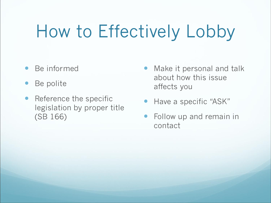## How to Effectively Lobby

- Be informed
- Be polite
- Reference the specific legislation by proper title (SB 166)
- Make it personal and talk about how this issue affects you
- Have a specific "ASK"
- Follow up and remain in contact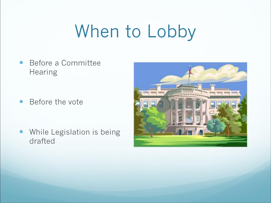## When to Lobby

 Before a Committee **Hearing** 

• Before the vote

 While Legislation is being drafted

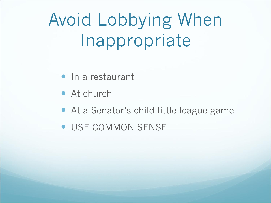## Avoid Lobbying When Inappropriate

- In a restaurant
- At church
- At a Senator's child little league game
- USE COMMON SENSE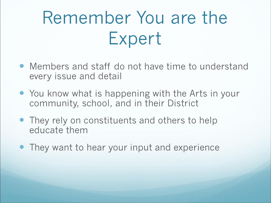## Remember You are the Expert

- Members and staff do not have time to understand every issue and detail
- You know what is happening with the Arts in your community, school, and in their District
- They rely on constituents and others to help educate them
- They want to hear your input and experience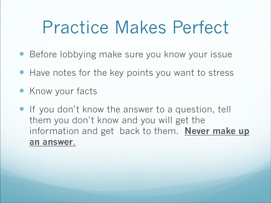### Practice Makes Perfect

- Before lobbying make sure you know your issue
- Have notes for the key points you want to stress
- **Know your facts**
- **If you don't know the answer to a question, tell** them you don't know and you will get the information and get back to them. **Never make up an answer**.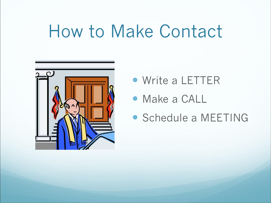### How to Make Contact



- Write a LETTER
- Make a CALL
- Schedule a MEETING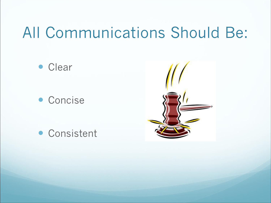#### All Communications Should Be:

• Clear

• Concise



Consistent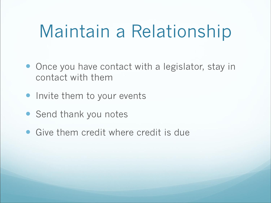### Maintain a Relationship

- Once you have contact with a legislator, stay in contact with them
- Invite them to your events
- Send thank you notes
- Give them credit where credit is due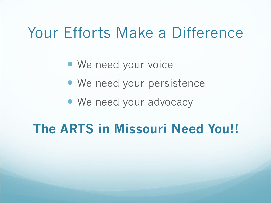#### Your Efforts Make a Difference

- We need your voice
- We need your persistence
- We need your advocacy

#### **The ARTS in Missouri Need You!!**